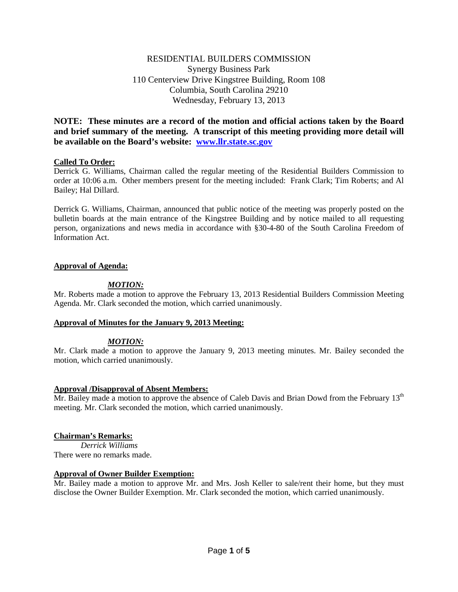## RESIDENTIAL BUILDERS COMMISSION Synergy Business Park 110 Centerview Drive Kingstree Building, Room 108 Columbia, South Carolina 29210 Wednesday, February 13, 2013

**NOTE: These minutes are a record of the motion and official actions taken by the Board and brief summary of the meeting. A transcript of this meeting providing more detail will be available on the Board's website: [www.llr.state.sc.gov](http://www.llr.state.sc.gov/)**

## **Called To Order:**

Derrick G. Williams, Chairman called the regular meeting of the Residential Builders Commission to order at 10:06 a.m. Other members present for the meeting included: Frank Clark; Tim Roberts; and Al Bailey; Hal Dillard.

Derrick G. Williams, Chairman, announced that public notice of the meeting was properly posted on the bulletin boards at the main entrance of the Kingstree Building and by notice mailed to all requesting person, organizations and news media in accordance with §30-4-80 of the South Carolina Freedom of Information Act.

## **Approval of Agenda:**

## *MOTION:*

Mr. Roberts made a motion to approve the February 13, 2013 Residential Builders Commission Meeting Agenda. Mr. Clark seconded the motion, which carried unanimously.

## **Approval of Minutes for the January 9, 2013 Meeting:**

## *MOTION:*

Mr. Clark made a motion to approve the January 9, 2013 meeting minutes. Mr. Bailey seconded the motion, which carried unanimously.

## **Approval /Disapproval of Absent Members:**

Mr. Bailey made a motion to approve the absence of Caleb Davis and Brian Dowd from the February  $13<sup>th</sup>$ meeting. Mr. Clark seconded the motion, which carried unanimously.

## **Chairman's Remarks:**

*Derrick Williams* There were no remarks made.

## **Approval of Owner Builder Exemption:**

Mr. Bailey made a motion to approve Mr. and Mrs. Josh Keller to sale/rent their home, but they must disclose the Owner Builder Exemption. Mr. Clark seconded the motion, which carried unanimously.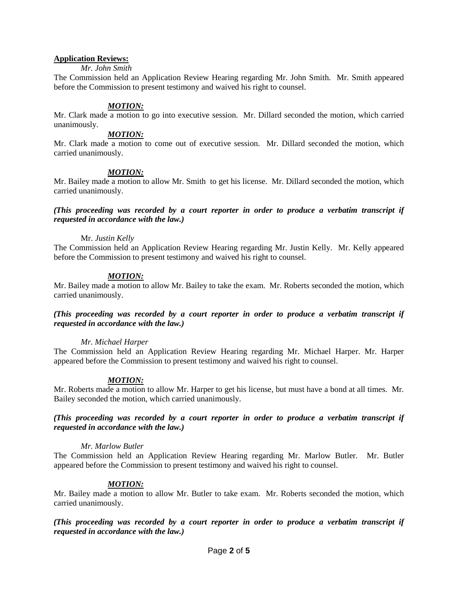## **Application Reviews:**

### *Mr. John Smith*

The Commission held an Application Review Hearing regarding Mr. John Smith. Mr. Smith appeared before the Commission to present testimony and waived his right to counsel.

### *MOTION:*

Mr. Clark made a motion to go into executive session. Mr. Dillard seconded the motion, which carried unanimously.

## *MOTION:*

Mr. Clark made a motion to come out of executive session. Mr. Dillard seconded the motion, which carried unanimously.

### *MOTION:*

Mr. Bailey made a motion to allow Mr. Smith to get his license. Mr. Dillard seconded the motion, which carried unanimously.

*(This proceeding was recorded by a court reporter in order to produce a verbatim transcript if requested in accordance with the law.)*

### Mr. *Justin Kelly*

The Commission held an Application Review Hearing regarding Mr. Justin Kelly. Mr. Kelly appeared before the Commission to present testimony and waived his right to counsel.

## *MOTION:*

Mr. Bailey made a motion to allow Mr. Bailey to take the exam. Mr. Roberts seconded the motion, which carried unanimously.

## *(This proceeding was recorded by a court reporter in order to produce a verbatim transcript if requested in accordance with the law.)*

## *Mr. Michael Harper*

The Commission held an Application Review Hearing regarding Mr. Michael Harper. Mr. Harper appeared before the Commission to present testimony and waived his right to counsel.

## *MOTION:*

Mr. Roberts made a motion to allow Mr. Harper to get his license, but must have a bond at all times. Mr. Bailey seconded the motion, which carried unanimously.

## *(This proceeding was recorded by a court reporter in order to produce a verbatim transcript if requested in accordance with the law.)*

### *Mr. Marlow Butler*

The Commission held an Application Review Hearing regarding Mr. Marlow Butler. Mr. Butler appeared before the Commission to present testimony and waived his right to counsel.

## *MOTION:*

Mr. Bailey made a motion to allow Mr. Butler to take exam. Mr. Roberts seconded the motion, which carried unanimously.

*(This proceeding was recorded by a court reporter in order to produce a verbatim transcript if requested in accordance with the law.)*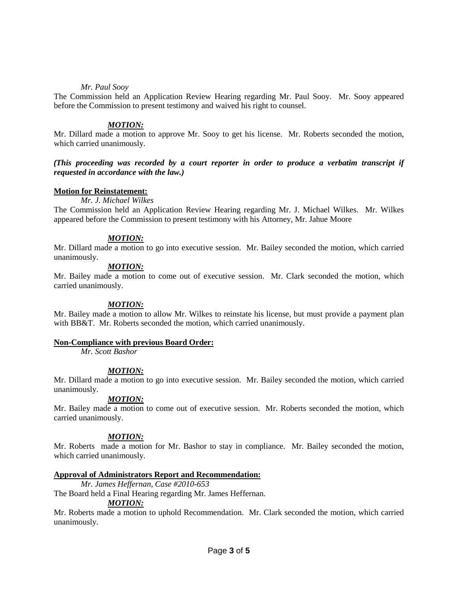## *Mr. Paul Sooy*

The Commission held an Application Review Hearing regarding Mr. Paul Sooy. Mr. Sooy appeared before the Commission to present testimony and waived his right to counsel.

## *MOTION:*

Mr. Dillard made a motion to approve Mr. Sooy to get his license. Mr. Roberts seconded the motion, which carried unanimously.

## *(This proceeding was recorded by a court reporter in order to produce a verbatim transcript if requested in accordance with the law.)*

## **Motion for Reinstatement:**

### *Mr. J. Michael Wilkes*

The Commission held an Application Review Hearing regarding Mr. J. Michael Wilkes. Mr. Wilkes appeared before the Commission to present testimony with his Attorney, Mr. Jahue Moore

## *MOTION:*

Mr. Dillard made a motion to go into executive session. Mr. Bailey seconded the motion, which carried unanimously.

## *MOTION:*

Mr. Bailey made a motion to come out of executive session. Mr. Clark seconded the motion, which carried unanimously.

## *MOTION:*

Mr. Bailey made a motion to allow Mr. Wilkes to reinstate his license, but must provide a payment plan with BB&T. Mr. Roberts seconded the motion, which carried unanimously.

### **Non-Compliance with previous Board Order:**

*Mr. Scott Bashor*

## *MOTION:*

Mr. Dillard made a motion to go into executive session. Mr. Bailey seconded the motion, which carried unanimously.

## *MOTION:*

Mr. Bailey made a motion to come out of executive session. Mr. Roberts seconded the motion, which carried unanimously.

## *MOTION:*

Mr. Roberts made a motion for Mr. Bashor to stay in compliance. Mr. Bailey seconded the motion, which carried unanimously.

## **Approval of Administrators Report and Recommendation:**

*Mr. James Heffernan, Case #2010-653*

The Board held a Final Hearing regarding Mr. James Heffernan.

### *MOTION:*

Mr. Roberts made a motion to uphold Recommendation. Mr. Clark seconded the motion, which carried unanimously.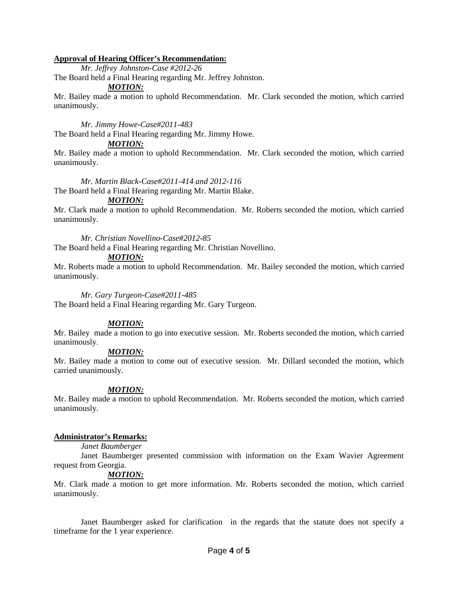## **Approval of Hearing Officer's Recommendation:**

*Mr. Jeffrey Johnston-Case #2012-26*

The Board held a Final Hearing regarding Mr. Jeffrey Johnston.

### *MOTION:*

Mr. Bailey made a motion to uphold Recommendation. Mr. Clark seconded the motion, which carried unanimously.

*Mr. Jimmy Howe-Case#2011-483* The Board held a Final Hearing regarding Mr. Jimmy Howe.

## *MOTION:*

Mr. Bailey made a motion to uphold Recommendation. Mr. Clark seconded the motion, which carried unanimously.

### *Mr. Martin Black-Case#2011-414 and 2012-116*

The Board held a Final Hearing regarding Mr. Martin Blake.

## *MOTION:*

Mr. Clark made a motion to uphold Recommendation. Mr. Roberts seconded the motion, which carried unanimously.

*Mr. Christian Novellino-Case#2012-85*

The Board held a Final Hearing regarding Mr. Christian Novellino.

### *MOTION:*

Mr. Roberts made a motion to uphold Recommendation. Mr. Bailey seconded the motion, which carried unanimously.

### *Mr. Gary Turgeon-Case#2011-485*

The Board held a Final Hearing regarding Mr. Gary Turgeon.

## *MOTION:*

Mr. Bailey made a motion to go into executive session. Mr. Roberts seconded the motion, which carried unanimously.

## *MOTION:*

Mr. Bailey made a motion to come out of executive session. Mr. Dillard seconded the motion, which carried unanimously.

## *MOTION:*

Mr. Bailey made a motion to uphold Recommendation. Mr. Roberts seconded the motion, which carried unanimously.

### **Administrator's Remarks:**

### *Janet Baumberger*

Janet Baumberger presented commission with information on the Exam Wavier Agreement request from Georgia.

## *MOTION:*

Mr. Clark made a motion to get more information. Mr. Roberts seconded the motion, which carried unanimously.

Janet Baumberger asked for clarification in the regards that the statute does not specify a timeframe for the 1 year experience.